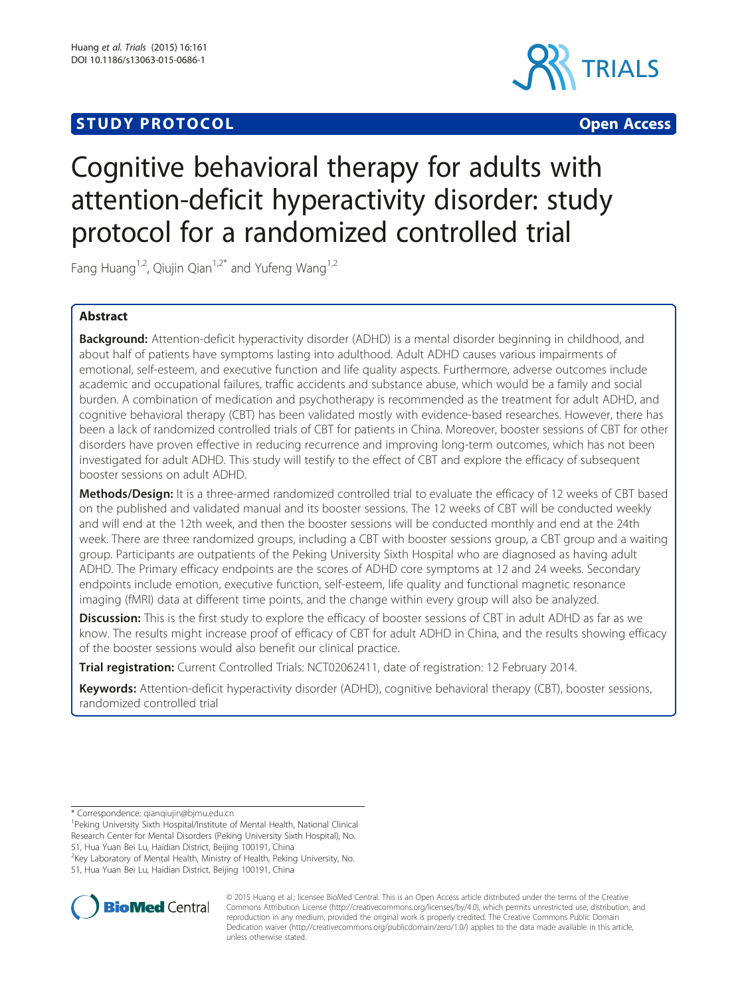# **STUDY PROTOCOL CONSUMING THE CONSUMING OPEN ACCESS**



# Cognitive behavioral therapy for adults with attention-deficit hyperactivity disorder: study protocol for a randomized controlled trial

Fang Huang<sup>1,2</sup>, Qiujin Qian<sup>1,2\*</sup> and Yufeng Wang<sup>1,2</sup>

# Abstract

Background: Attention-deficit hyperactivity disorder (ADHD) is a mental disorder beginning in childhood, and about half of patients have symptoms lasting into adulthood. Adult ADHD causes various impairments of emotional, self-esteem, and executive function and life quality aspects. Furthermore, adverse outcomes include academic and occupational failures, traffic accidents and substance abuse, which would be a family and social burden. A combination of medication and psychotherapy is recommended as the treatment for adult ADHD, and cognitive behavioral therapy (CBT) has been validated mostly with evidence-based researches. However, there has been a lack of randomized controlled trials of CBT for patients in China. Moreover, booster sessions of CBT for other disorders have proven effective in reducing recurrence and improving long-term outcomes, which has not been investigated for adult ADHD. This study will testify to the effect of CBT and explore the efficacy of subsequent booster sessions on adult ADHD.

Methods/Design: It is a three-armed randomized controlled trial to evaluate the efficacy of 12 weeks of CBT based on the published and validated manual and its booster sessions. The 12 weeks of CBT will be conducted weekly and will end at the 12th week, and then the booster sessions will be conducted monthly and end at the 24th week. There are three randomized groups, including a CBT with booster sessions group, a CBT group and a waiting group. Participants are outpatients of the Peking University Sixth Hospital who are diagnosed as having adult ADHD. The Primary efficacy endpoints are the scores of ADHD core symptoms at 12 and 24 weeks. Secondary endpoints include emotion, executive function, self-esteem, life quality and functional magnetic resonance imaging (fMRI) data at different time points, and the change within every group will also be analyzed.

**Discussion:** This is the first study to explore the efficacy of booster sessions of CBT in adult ADHD as far as we know. The results might increase proof of efficacy of CBT for adult ADHD in China, and the results showing efficacy of the booster sessions would also benefit our clinical practice.

Trial registration: Current Controlled Trials: [NCT02062411,](http://clinicaltrials.gov/show/NCT02062411) date of registration: 12 February 2014.

Keywords: Attention-deficit hyperactivity disorder (ADHD), cognitive behavioral therapy (CBT), booster sessions, randomized controlled trial

\* Correspondence: [qianqiujin@bjmu.edu.cn](mailto:qianqiujin@bjmu.edu.cn) <sup>1</sup>

<sup>1</sup> Peking University Sixth Hospital/Institute of Mental Health, National Clinical Research Center for Mental Disorders (Peking University Sixth Hospital), No.

51, Hua Yuan Bei Lu, Haidian District, Beijing 100191, China

<sup>2</sup>Key Laboratory of Mental Health, Ministry of Health, Peking University, No.





© 2015 Huang et al.; licensee BioMed Central. This is an Open Access article distributed under the terms of the Creative Commons Attribution License [\(http://creativecommons.org/licenses/by/4.0\)](http://creativecommons.org/licenses/by/4.0), which permits unrestricted use, distribution, and reproduction in any medium, provided the original work is properly credited. The Creative Commons Public Domain Dedication waiver [\(http://creativecommons.org/publicdomain/zero/1.0/](http://creativecommons.org/publicdomain/zero/1.0/)) applies to the data made available in this article, unless otherwise stated.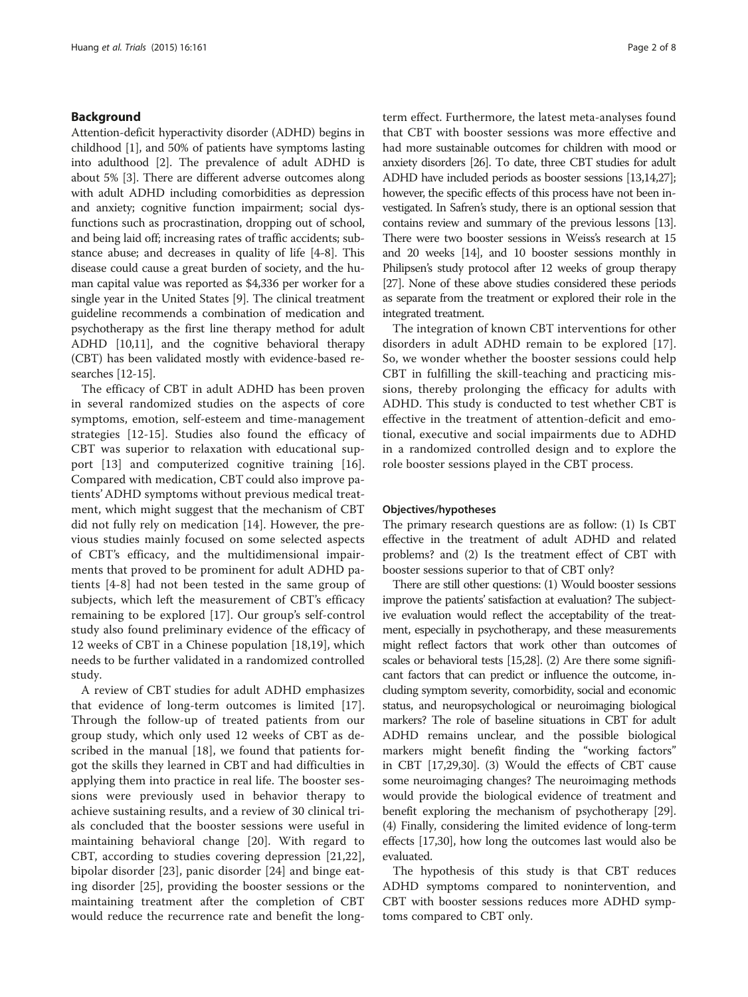# Background

Attention-deficit hyperactivity disorder (ADHD) begins in childhood [[1\]](#page-6-0), and 50% of patients have symptoms lasting into adulthood [\[2\]](#page-6-0). The prevalence of adult ADHD is about 5% [[3](#page-6-0)]. There are different adverse outcomes along with adult ADHD including comorbidities as depression and anxiety; cognitive function impairment; social dysfunctions such as procrastination, dropping out of school, and being laid off; increasing rates of traffic accidents; substance abuse; and decreases in quality of life [\[4](#page-6-0)-[8](#page-6-0)]. This disease could cause a great burden of society, and the human capital value was reported as \$4,336 per worker for a single year in the United States [\[9](#page-6-0)]. The clinical treatment guideline recommends a combination of medication and psychotherapy as the first line therapy method for adult ADHD [\[10,11](#page-6-0)], and the cognitive behavioral therapy (CBT) has been validated mostly with evidence-based researches [[12-15\]](#page-6-0).

The efficacy of CBT in adult ADHD has been proven in several randomized studies on the aspects of core symptoms, emotion, self-esteem and time-management strategies [[12-15](#page-6-0)]. Studies also found the efficacy of CBT was superior to relaxation with educational support [[13\]](#page-6-0) and computerized cognitive training [\[16](#page-6-0)]. Compared with medication, CBT could also improve patients' ADHD symptoms without previous medical treatment, which might suggest that the mechanism of CBT did not fully rely on medication [[14\]](#page-6-0). However, the previous studies mainly focused on some selected aspects of CBT's efficacy, and the multidimensional impairments that proved to be prominent for adult ADHD patients [\[4](#page-6-0)-[8\]](#page-6-0) had not been tested in the same group of subjects, which left the measurement of CBT's efficacy remaining to be explored [\[17](#page-6-0)]. Our group's self-control study also found preliminary evidence of the efficacy of 12 weeks of CBT in a Chinese population [\[18,19](#page-6-0)], which needs to be further validated in a randomized controlled study.

A review of CBT studies for adult ADHD emphasizes that evidence of long-term outcomes is limited [\[17](#page-6-0)]. Through the follow-up of treated patients from our group study, which only used 12 weeks of CBT as described in the manual [\[18](#page-6-0)], we found that patients forgot the skills they learned in CBT and had difficulties in applying them into practice in real life. The booster sessions were previously used in behavior therapy to achieve sustaining results, and a review of 30 clinical trials concluded that the booster sessions were useful in maintaining behavioral change [\[20](#page-6-0)]. With regard to CBT, according to studies covering depression [[21,22](#page-6-0)], bipolar disorder [[23\]](#page-6-0), panic disorder [[24\]](#page-6-0) and binge eating disorder [\[25](#page-6-0)], providing the booster sessions or the maintaining treatment after the completion of CBT would reduce the recurrence rate and benefit the longterm effect. Furthermore, the latest meta-analyses found that CBT with booster sessions was more effective and had more sustainable outcomes for children with mood or anxiety disorders [\[26](#page-7-0)]. To date, three CBT studies for adult ADHD have included periods as booster sessions [[13,14](#page-6-0)[,27\]](#page-7-0); however, the specific effects of this process have not been investigated. In Safren's study, there is an optional session that contains review and summary of the previous lessons [\[13](#page-6-0)]. There were two booster sessions in Weiss's research at 15 and 20 weeks [\[14](#page-6-0)], and 10 booster sessions monthly in Philipsen's study protocol after 12 weeks of group therapy [[27\]](#page-7-0). None of these above studies considered these periods as separate from the treatment or explored their role in the integrated treatment.

The integration of known CBT interventions for other disorders in adult ADHD remain to be explored [\[17](#page-6-0)]. So, we wonder whether the booster sessions could help CBT in fulfilling the skill-teaching and practicing missions, thereby prolonging the efficacy for adults with ADHD. This study is conducted to test whether CBT is effective in the treatment of attention-deficit and emotional, executive and social impairments due to ADHD in a randomized controlled design and to explore the role booster sessions played in the CBT process.

### Objectives/hypotheses

The primary research questions are as follow: (1) Is CBT effective in the treatment of adult ADHD and related problems? and (2) Is the treatment effect of CBT with booster sessions superior to that of CBT only?

There are still other questions: (1) Would booster sessions improve the patients' satisfaction at evaluation? The subjective evaluation would reflect the acceptability of the treatment, especially in psychotherapy, and these measurements might reflect factors that work other than outcomes of scales or behavioral tests [[15,](#page-6-0)[28](#page-7-0)]. (2) Are there some significant factors that can predict or influence the outcome, including symptom severity, comorbidity, social and economic status, and neuropsychological or neuroimaging biological markers? The role of baseline situations in CBT for adult ADHD remains unclear, and the possible biological markers might benefit finding the "working factors" in CBT [[17](#page-6-0)[,29,30\]](#page-7-0). (3) Would the effects of CBT cause some neuroimaging changes? The neuroimaging methods would provide the biological evidence of treatment and benefit exploring the mechanism of psychotherapy [[29](#page-7-0)]. (4) Finally, considering the limited evidence of long-term effects [[17](#page-6-0)[,30\]](#page-7-0), how long the outcomes last would also be evaluated.

The hypothesis of this study is that CBT reduces ADHD symptoms compared to nonintervention, and CBT with booster sessions reduces more ADHD symptoms compared to CBT only.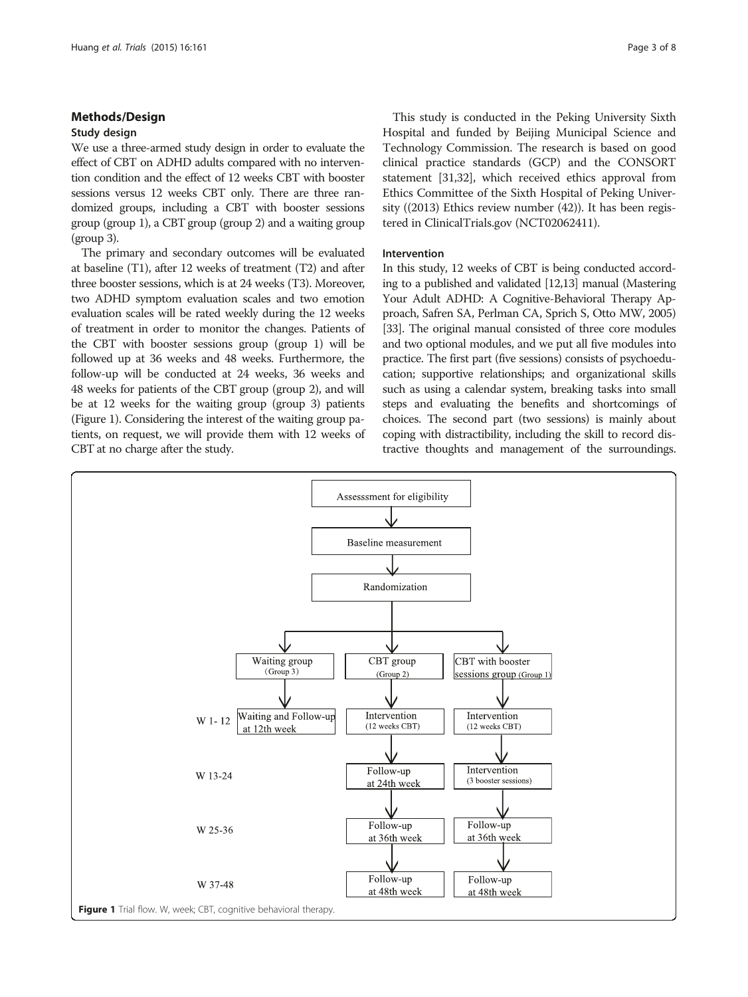# Methods/Design

# Study design

We use a three-armed study design in order to evaluate the effect of CBT on ADHD adults compared with no intervention condition and the effect of 12 weeks CBT with booster sessions versus 12 weeks CBT only. There are three randomized groups, including a CBT with booster sessions group (group 1), a CBT group (group 2) and a waiting group (group 3).

The primary and secondary outcomes will be evaluated at baseline (T1), after 12 weeks of treatment (T2) and after three booster sessions, which is at 24 weeks (T3). Moreover, two ADHD symptom evaluation scales and two emotion evaluation scales will be rated weekly during the 12 weeks of treatment in order to monitor the changes. Patients of the CBT with booster sessions group (group 1) will be followed up at 36 weeks and 48 weeks. Furthermore, the follow-up will be conducted at 24 weeks, 36 weeks and 48 weeks for patients of the CBT group (group 2), and will be at 12 weeks for the waiting group (group 3) patients (Figure 1). Considering the interest of the waiting group patients, on request, we will provide them with 12 weeks of CBT at no charge after the study.

This study is conducted in the Peking University Sixth Hospital and funded by Beijing Municipal Science and Technology Commission. The research is based on good clinical practice standards (GCP) and the CONSORT statement [\[31,32\]](#page-7-0), which received ethics approval from Ethics Committee of the Sixth Hospital of Peking University ((2013) Ethics review number (42)). It has been registered in ClinicalTrials.gov (NCT02062411).

# Intervention

In this study, 12 weeks of CBT is being conducted according to a published and validated [\[12,13\]](#page-6-0) manual (Mastering Your Adult ADHD: A Cognitive-Behavioral Therapy Approach, Safren SA, Perlman CA, Sprich S, Otto MW, 2005) [[33](#page-7-0)]. The original manual consisted of three core modules and two optional modules, and we put all five modules into practice. The first part (five sessions) consists of psychoeducation; supportive relationships; and organizational skills such as using a calendar system, breaking tasks into small steps and evaluating the benefits and shortcomings of choices. The second part (two sessions) is mainly about coping with distractibility, including the skill to record distractive thoughts and management of the surroundings.

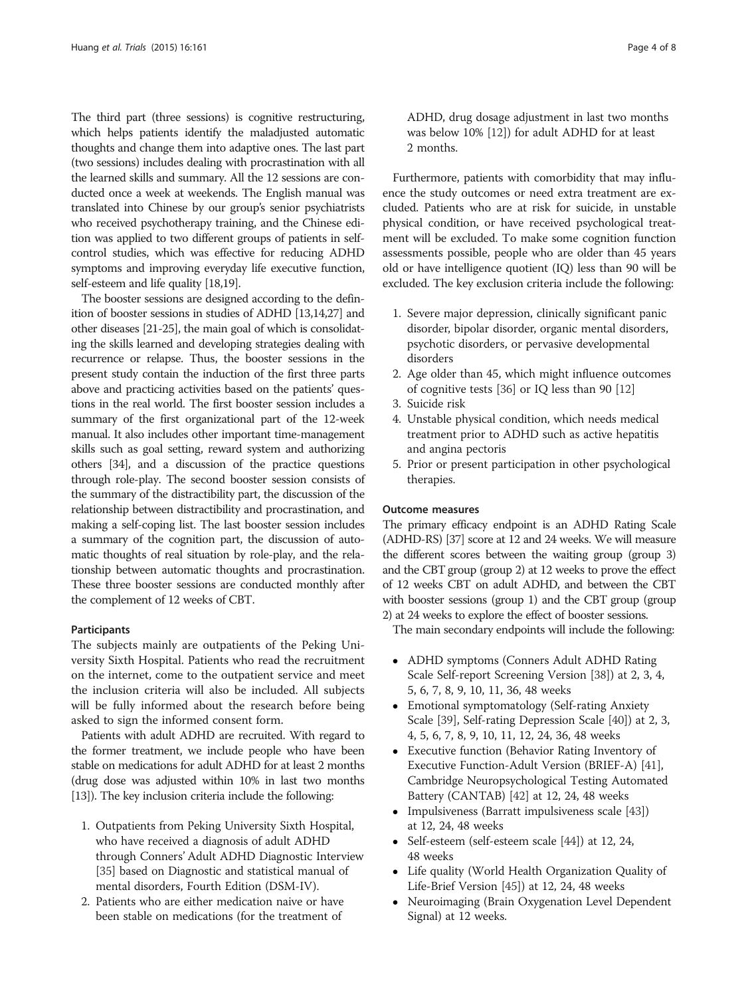The third part (three sessions) is cognitive restructuring, which helps patients identify the maladjusted automatic thoughts and change them into adaptive ones. The last part (two sessions) includes dealing with procrastination with all the learned skills and summary. All the 12 sessions are conducted once a week at weekends. The English manual was translated into Chinese by our group's senior psychiatrists who received psychotherapy training, and the Chinese edition was applied to two different groups of patients in selfcontrol studies, which was effective for reducing ADHD symptoms and improving everyday life executive function, self-esteem and life quality [\[18,19\]](#page-6-0).

The booster sessions are designed according to the definition of booster sessions in studies of ADHD [\[13,14,](#page-6-0)[27](#page-7-0)] and other diseases [[21-25\]](#page-6-0), the main goal of which is consolidating the skills learned and developing strategies dealing with recurrence or relapse. Thus, the booster sessions in the present study contain the induction of the first three parts above and practicing activities based on the patients' questions in the real world. The first booster session includes a summary of the first organizational part of the 12-week manual. It also includes other important time-management skills such as goal setting, reward system and authorizing others [[34](#page-7-0)], and a discussion of the practice questions through role-play. The second booster session consists of the summary of the distractibility part, the discussion of the relationship between distractibility and procrastination, and making a self-coping list. The last booster session includes a summary of the cognition part, the discussion of automatic thoughts of real situation by role-play, and the relationship between automatic thoughts and procrastination. These three booster sessions are conducted monthly after the complement of 12 weeks of CBT.

# Participants

The subjects mainly are outpatients of the Peking University Sixth Hospital. Patients who read the recruitment on the internet, come to the outpatient service and meet the inclusion criteria will also be included. All subjects will be fully informed about the research before being asked to sign the informed consent form.

Patients with adult ADHD are recruited. With regard to the former treatment, we include people who have been stable on medications for adult ADHD for at least 2 months (drug dose was adjusted within 10% in last two months [[13](#page-6-0)]). The key inclusion criteria include the following:

- 1. Outpatients from Peking University Sixth Hospital, who have received a diagnosis of adult ADHD through Conners' Adult ADHD Diagnostic Interview [\[35](#page-7-0)] based on Diagnostic and statistical manual of mental disorders, Fourth Edition (DSM-IV).
- 2. Patients who are either medication naive or have been stable on medications (for the treatment of

ADHD, drug dosage adjustment in last two months was below 10% [\[12\]](#page-6-0)) for adult ADHD for at least 2 months.

Furthermore, patients with comorbidity that may influence the study outcomes or need extra treatment are excluded. Patients who are at risk for suicide, in unstable physical condition, or have received psychological treatment will be excluded. To make some cognition function assessments possible, people who are older than 45 years old or have intelligence quotient (IQ) less than 90 will be excluded. The key exclusion criteria include the following:

- 1. Severe major depression, clinically significant panic disorder, bipolar disorder, organic mental disorders, psychotic disorders, or pervasive developmental disorders
- 2. Age older than 45, which might influence outcomes of cognitive tests [\[36](#page-7-0)] or IQ less than 90 [\[12\]](#page-6-0)
- 3. Suicide risk
- 4. Unstable physical condition, which needs medical treatment prior to ADHD such as active hepatitis and angina pectoris
- 5. Prior or present participation in other psychological therapies.

# Outcome measures

The primary efficacy endpoint is an ADHD Rating Scale (ADHD-RS) [\[37](#page-7-0)] score at 12 and 24 weeks. We will measure the different scores between the waiting group (group 3) and the CBT group (group 2) at 12 weeks to prove the effect of 12 weeks CBT on adult ADHD, and between the CBT with booster sessions (group 1) and the CBT group (group 2) at 24 weeks to explore the effect of booster sessions.

The main secondary endpoints will include the following:

- ADHD symptoms (Conners Adult ADHD Rating Scale Self-report Screening Version [\[38\]](#page-7-0)) at 2, 3, 4, 5, 6, 7, 8, 9, 10, 11, 36, 48 weeks
- Emotional symptomatology (Self-rating Anxiety Scale [\[39\]](#page-7-0), Self-rating Depression Scale [[40](#page-7-0)]) at 2, 3, 4, 5, 6, 7, 8, 9, 10, 11, 12, 24, 36, 48 weeks
- Executive function (Behavior Rating Inventory of Executive Function-Adult Version (BRIEF-A) [[41](#page-7-0)], Cambridge Neuropsychological Testing Automated Battery (CANTAB) [[42](#page-7-0)] at 12, 24, 48 weeks
- Impulsiveness (Barratt impulsiveness scale [\[43\]](#page-7-0)) at 12, 24, 48 weeks
- Self-esteem (self-esteem scale [\[44\]](#page-7-0)) at 12, 24, 48 weeks
- Life quality (World Health Organization Quality of Life-Brief Version [\[45\]](#page-7-0)) at 12, 24, 48 weeks
- Neuroimaging (Brain Oxygenation Level Dependent Signal) at 12 weeks.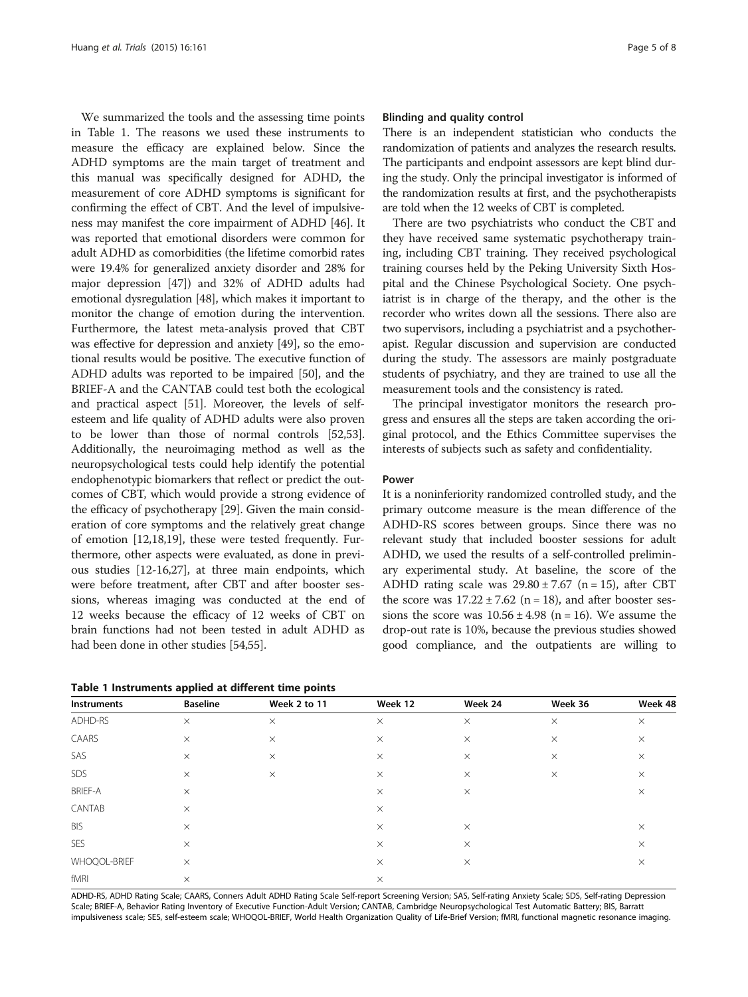We summarized the tools and the assessing time points in Table 1. The reasons we used these instruments to measure the efficacy are explained below. Since the ADHD symptoms are the main target of treatment and this manual was specifically designed for ADHD, the measurement of core ADHD symptoms is significant for confirming the effect of CBT. And the level of impulsiveness may manifest the core impairment of ADHD [\[46\]](#page-7-0). It was reported that emotional disorders were common for adult ADHD as comorbidities (the lifetime comorbid rates were 19.4% for generalized anxiety disorder and 28% for major depression [[47](#page-7-0)]) and 32% of ADHD adults had emotional dysregulation [\[48\]](#page-7-0), which makes it important to monitor the change of emotion during the intervention. Furthermore, the latest meta-analysis proved that CBT was effective for depression and anxiety [[49\]](#page-7-0), so the emotional results would be positive. The executive function of ADHD adults was reported to be impaired [[50](#page-7-0)], and the BRIEF-A and the CANTAB could test both the ecological and practical aspect [\[51](#page-7-0)]. Moreover, the levels of selfesteem and life quality of ADHD adults were also proven to be lower than those of normal controls [\[52,53](#page-7-0)]. Additionally, the neuroimaging method as well as the neuropsychological tests could help identify the potential endophenotypic biomarkers that reflect or predict the outcomes of CBT, which would provide a strong evidence of the efficacy of psychotherapy [[29](#page-7-0)]. Given the main consideration of core symptoms and the relatively great change of emotion [\[12,18,19](#page-6-0)], these were tested frequently. Furthermore, other aspects were evaluated, as done in previous studies [\[12](#page-6-0)-[16](#page-6-0)[,27\]](#page-7-0), at three main endpoints, which were before treatment, after CBT and after booster sessions, whereas imaging was conducted at the end of 12 weeks because the efficacy of 12 weeks of CBT on brain functions had not been tested in adult ADHD as had been done in other studies [[54,55\]](#page-7-0).

|  |  | Table 1 Instruments applied at different time points |  |  |  |  |  |
|--|--|------------------------------------------------------|--|--|--|--|--|
|--|--|------------------------------------------------------|--|--|--|--|--|

#### Blinding and quality control

There is an independent statistician who conducts the randomization of patients and analyzes the research results. The participants and endpoint assessors are kept blind during the study. Only the principal investigator is informed of the randomization results at first, and the psychotherapists are told when the 12 weeks of CBT is completed.

There are two psychiatrists who conduct the CBT and they have received same systematic psychotherapy training, including CBT training. They received psychological training courses held by the Peking University Sixth Hospital and the Chinese Psychological Society. One psychiatrist is in charge of the therapy, and the other is the recorder who writes down all the sessions. There also are two supervisors, including a psychiatrist and a psychotherapist. Regular discussion and supervision are conducted during the study. The assessors are mainly postgraduate students of psychiatry, and they are trained to use all the measurement tools and the consistency is rated.

The principal investigator monitors the research progress and ensures all the steps are taken according the original protocol, and the Ethics Committee supervises the interests of subjects such as safety and confidentiality.

#### Power

It is a noninferiority randomized controlled study, and the primary outcome measure is the mean difference of the ADHD-RS scores between groups. Since there was no relevant study that included booster sessions for adult ADHD, we used the results of a self-controlled preliminary experimental study. At baseline, the score of the ADHD rating scale was  $29.80 \pm 7.67$  (n = 15), after CBT the score was  $17.22 \pm 7.62$  (n = 18), and after booster sessions the score was  $10.56 \pm 4.98$  (n = 16). We assume the drop-out rate is 10%, because the previous studies showed good compliance, and the outpatients are willing to

| Instruments    | <b>Baseline</b> | Week 2 to 11 | Week 12  | Week 24  | Week 36  | Week 48  |
|----------------|-----------------|--------------|----------|----------|----------|----------|
| ADHD-RS        | $\times$        | $\times$     | $\times$ | $\times$ | $\times$ | $\times$ |
| CAARS          | $\times$        | $\times$     | $\times$ | $\times$ | $\times$ | $\times$ |
| SAS            | $\times$        | $\times$     | $\times$ | $\times$ | $\times$ | $\times$ |
| SDS            | $\times$        | $\times$     | $\times$ | $\times$ | $\times$ | $\times$ |
| <b>BRIEF-A</b> | $\times$        |              | $\times$ | $\times$ |          | $\times$ |
| CANTAB         | $\times$        |              | $\times$ |          |          |          |
| <b>BIS</b>     | $\times$        |              | $\times$ | $\times$ |          | $\times$ |
| <b>SES</b>     | $\times$        |              | $\times$ | $\times$ |          | $\times$ |
| WHOQOL-BRIEF   | $\times$        |              | $\times$ | $\times$ |          | $\times$ |
| fMRI           | $\times$        |              | $\times$ |          |          |          |

ADHD-RS, ADHD Rating Scale; CAARS, Conners Adult ADHD Rating Scale Self-report Screening Version; SAS, Self-rating Anxiety Scale; SDS, Self-rating Depression Scale; BRIEF-A, Behavior Rating Inventory of Executive Function-Adult Version; CANTAB, Cambridge Neuropsychological Test Automatic Battery; BIS, Barratt impulsiveness scale; SES, self-esteem scale; WHOQOL-BRIEF, World Health Organization Quality of Life-Brief Version; fMRI, functional magnetic resonance imaging.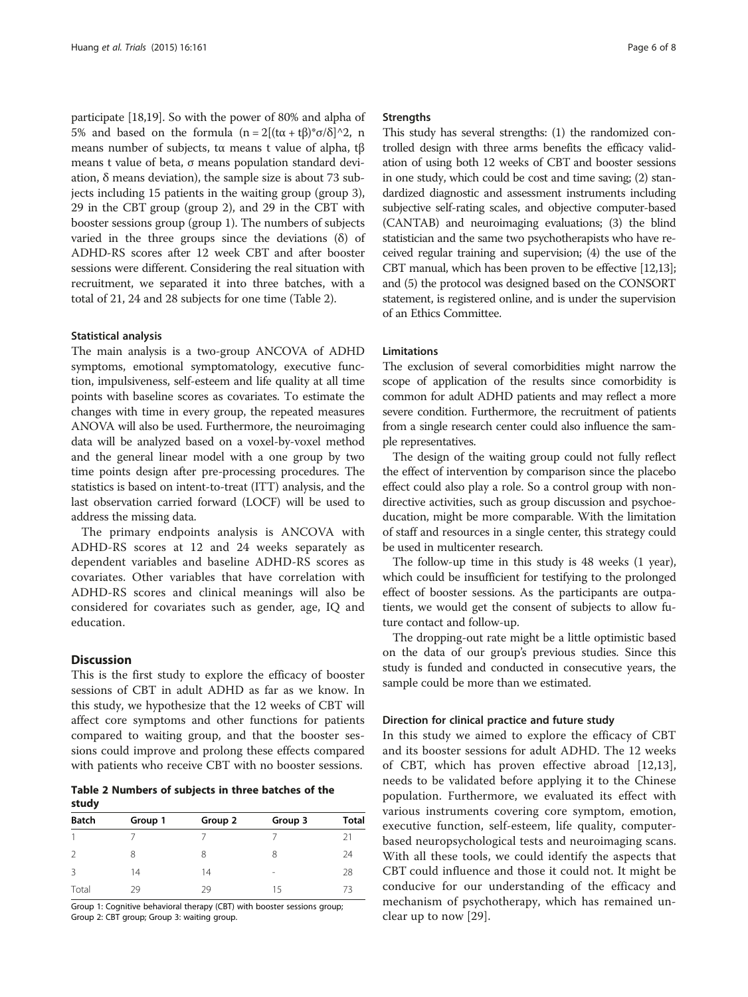participate [[18](#page-6-0),[19](#page-6-0)]. So with the power of 80% and alpha of 5% and based on the formula  $(n = 2[(tα + tβ)*σ/δ]^{2}$ , n means number of subjects, tα means t value of alpha, tβ means t value of beta, σ means population standard deviation, δ means deviation), the sample size is about 73 subjects including 15 patients in the waiting group (group 3), 29 in the CBT group (group 2), and 29 in the CBT with booster sessions group (group 1). The numbers of subjects varied in the three groups since the deviations  $(\delta)$  of ADHD-RS scores after 12 week CBT and after booster sessions were different. Considering the real situation with recruitment, we separated it into three batches, with a total of 21, 24 and 28 subjects for one time (Table 2).

#### Statistical analysis

The main analysis is a two-group ANCOVA of ADHD symptoms, emotional symptomatology, executive function, impulsiveness, self-esteem and life quality at all time points with baseline scores as covariates. To estimate the changes with time in every group, the repeated measures ANOVA will also be used. Furthermore, the neuroimaging data will be analyzed based on a voxel-by-voxel method and the general linear model with a one group by two time points design after pre-processing procedures. The statistics is based on intent-to-treat (ITT) analysis, and the last observation carried forward (LOCF) will be used to address the missing data.

The primary endpoints analysis is ANCOVA with ADHD-RS scores at 12 and 24 weeks separately as dependent variables and baseline ADHD-RS scores as covariates. Other variables that have correlation with ADHD-RS scores and clinical meanings will also be considered for covariates such as gender, age, IQ and education.

# **Discussion**

This is the first study to explore the efficacy of booster sessions of CBT in adult ADHD as far as we know. In this study, we hypothesize that the 12 weeks of CBT will affect core symptoms and other functions for patients compared to waiting group, and that the booster sessions could improve and prolong these effects compared with patients who receive CBT with no booster sessions.

Table 2 Numbers of subjects in three batches of the study

| <b>Batch</b> | Group 1 | Group 2 | Group 3         | <b>Total</b> |  |  |  |
|--------------|---------|---------|-----------------|--------------|--|--|--|
|              |         |         |                 | 21           |  |  |  |
| 2            | 8       | 8       | 8               | 24           |  |  |  |
| 3            | 14      | 14      | $\qquad \qquad$ | 28           |  |  |  |
| Total        | 29      | 29      | 15              | 73           |  |  |  |

Group 1: Cognitive behavioral therapy (CBT) with booster sessions group; Group 2: CBT group; Group 3: waiting group.

#### **Strengths**

This study has several strengths: (1) the randomized controlled design with three arms benefits the efficacy validation of using both 12 weeks of CBT and booster sessions in one study, which could be cost and time saving; (2) standardized diagnostic and assessment instruments including subjective self-rating scales, and objective computer-based (CANTAB) and neuroimaging evaluations; (3) the blind statistician and the same two psychotherapists who have received regular training and supervision; (4) the use of the CBT manual, which has been proven to be effective [[12,13](#page-6-0)]; and (5) the protocol was designed based on the CONSORT statement, is registered online, and is under the supervision of an Ethics Committee.

### Limitations

The exclusion of several comorbidities might narrow the scope of application of the results since comorbidity is common for adult ADHD patients and may reflect a more severe condition. Furthermore, the recruitment of patients from a single research center could also influence the sample representatives.

The design of the waiting group could not fully reflect the effect of intervention by comparison since the placebo effect could also play a role. So a control group with nondirective activities, such as group discussion and psychoeducation, might be more comparable. With the limitation of staff and resources in a single center, this strategy could be used in multicenter research.

The follow-up time in this study is 48 weeks (1 year), which could be insufficient for testifying to the prolonged effect of booster sessions. As the participants are outpatients, we would get the consent of subjects to allow future contact and follow-up.

The dropping-out rate might be a little optimistic based on the data of our group's previous studies. Since this study is funded and conducted in consecutive years, the sample could be more than we estimated.

# Direction for clinical practice and future study

In this study we aimed to explore the efficacy of CBT and its booster sessions for adult ADHD. The 12 weeks of CBT, which has proven effective abroad [[12,13](#page-6-0)], needs to be validated before applying it to the Chinese population. Furthermore, we evaluated its effect with various instruments covering core symptom, emotion, executive function, self-esteem, life quality, computerbased neuropsychological tests and neuroimaging scans. With all these tools, we could identify the aspects that CBT could influence and those it could not. It might be conducive for our understanding of the efficacy and mechanism of psychotherapy, which has remained unclear up to now [\[29](#page-7-0)].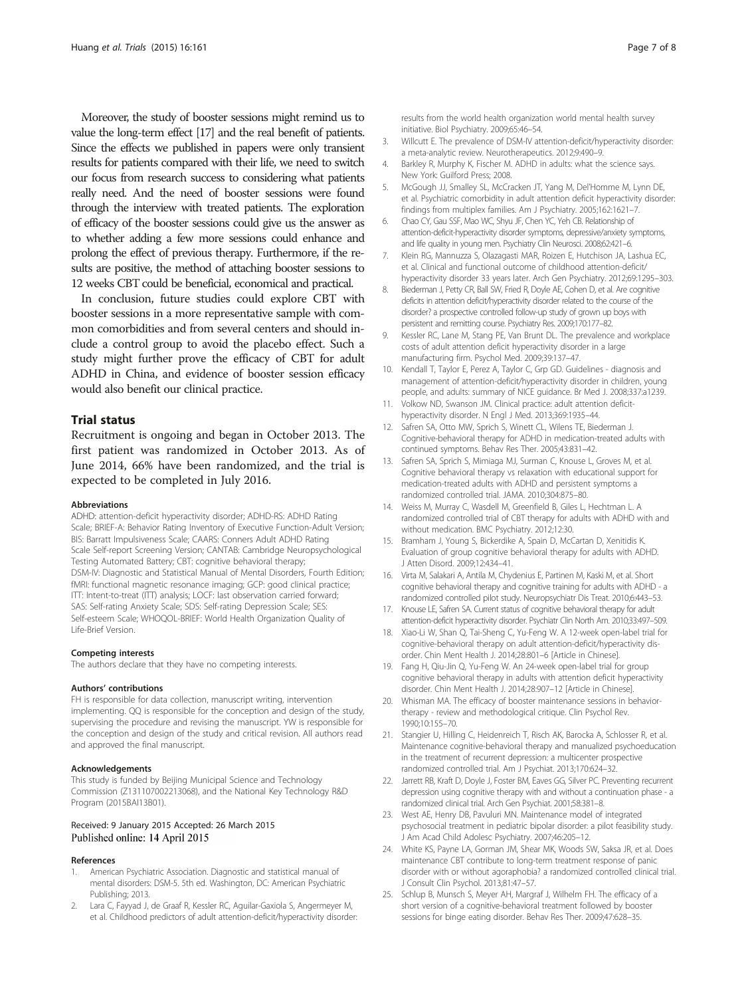<span id="page-6-0"></span>Moreover, the study of booster sessions might remind us to value the long-term effect [17] and the real benefit of patients. Since the effects we published in papers were only transient results for patients compared with their life, we need to switch our focus from research success to considering what patients really need. And the need of booster sessions were found through the interview with treated patients. The exploration of efficacy of the booster sessions could give us the answer as to whether adding a few more sessions could enhance and prolong the effect of previous therapy. Furthermore, if the results are positive, the method of attaching booster sessions to 12 weeks CBT could be beneficial, economical and practical.

In conclusion, future studies could explore CBT with booster sessions in a more representative sample with common comorbidities and from several centers and should include a control group to avoid the placebo effect. Such a study might further prove the efficacy of CBT for adult ADHD in China, and evidence of booster session efficacy would also benefit our clinical practice.

### Trial status

Recruitment is ongoing and began in October 2013. The first patient was randomized in October 2013. As of June 2014, 66% have been randomized, and the trial is expected to be completed in July 2016.

#### Abbreviations

ADHD: attention-deficit hyperactivity disorder; ADHD-RS: ADHD Rating Scale; BRIEF-A: Behavior Rating Inventory of Executive Function-Adult Version; BIS: Barratt Impulsiveness Scale; CAARS: Conners Adult ADHD Rating Scale Self-report Screening Version; CANTAB: Cambridge Neuropsychological Testing Automated Battery; CBT: cognitive behavioral therapy; DSM-IV: Diagnostic and Statistical Manual of Mental Disorders, Fourth Edition; fMRI: functional magnetic resonance imaging; GCP: good clinical practice; ITT: Intent-to-treat (ITT) analysis; LOCF: last observation carried forward; SAS: Self-rating Anxiety Scale; SDS: Self-rating Depression Scale; SES: Self-esteem Scale; WHOQOL-BRIEF: World Health Organization Quality of Life-Brief Version.

#### Competing interests

The authors declare that they have no competing interests.

#### Authors' contributions

FH is responsible for data collection, manuscript writing, intervention implementing. QQ is responsible for the conception and design of the study, supervising the procedure and revising the manuscript. YW is responsible for the conception and design of the study and critical revision. All authors read and approved the final manuscript.

#### Acknowledgements

This study is funded by Beijing Municipal Science and Technology Commission (Z131107002213068), and the National Key Technology R&D Program (2015BAI13B01).

# Received: 9 January 2015 Accepted: 26 March 2015 Published online: 14 April 2015

# References

- 1. American Psychiatric Association. Diagnostic and statistical manual of mental disorders: DSM-5. 5th ed. Washington, DC: American Psychiatric Publishing; 2013.
- 2. Lara C, Fayyad J, de Graaf R, Kessler RC, Aguilar-Gaxiola S, Angermeyer M, et al. Childhood predictors of adult attention-deficit/hyperactivity disorder:

results from the world health organization world mental health survey initiative. Biol Psychiatry. 2009;65:46–54.

- 3. Willcutt E. The prevalence of DSM-IV attention-deficit/hyperactivity disorder: a meta-analytic review. Neurotherapeutics. 2012;9:490–9.
- 4. Barkley R, Murphy K, Fischer M. ADHD in adults: what the science says. New York: Guilford Press; 2008.
- 5. McGough JJ, Smalley SL, McCracken JT, Yang M, Del'Homme M, Lynn DE, et al. Psychiatric comorbidity in adult attention deficit hyperactivity disorder: findings from multiplex families. Am J Psychiatry. 2005;162:1621–7.
- 6. Chao CY, Gau SSF, Mao WC, Shyu JF, Chen YC, Yeh CB. Relationship of attention-deficit-hyperactivity disorder symptoms, depressive/anxiety symptoms, and life quality in young men. Psychiatry Clin Neurosci. 2008;62:421–6.
- 7. Klein RG, Mannuzza S, Olazagasti MAR, Roizen E, Hutchison JA, Lashua EC, et al. Clinical and functional outcome of childhood attention-deficit/ hyperactivity disorder 33 years later. Arch Gen Psychiatry. 2012;69:1295–303.
- 8. Biederman J, Petty CR, Ball SW, Fried R, Doyle AE, Cohen D, et al. Are cognitive deficits in attention deficit/hyperactivity disorder related to the course of the disorder? a prospective controlled follow-up study of grown up boys with persistent and remitting course. Psychiatry Res. 2009;170:177–82.
- Kessler RC, Lane M, Stang PE, Van Brunt DL. The prevalence and workplace costs of adult attention deficit hyperactivity disorder in a large manufacturing firm. Psychol Med. 2009;39:137–47.
- 10. Kendall T, Taylor E, Perez A, Taylor C, Grp GD. Guidelines diagnosis and management of attention-deficit/hyperactivity disorder in children, young people, and adults: summary of NICE guidance. Br Med J. 2008;337:a1239.
- 11. Volkow ND, Swanson JM. Clinical practice: adult attention deficithyperactivity disorder. N Engl J Med. 2013;369:1935–44.
- 12. Safren SA, Otto MW, Sprich S, Winett CL, Wilens TE, Biederman J. Cognitive-behavioral therapy for ADHD in medication-treated adults with continued symptoms. Behav Res Ther. 2005;43:831–42.
- 13. Safren SA, Sprich S, Mimiaga MJ, Surman C, Knouse L, Groves M, et al. Cognitive behavioral therapy vs relaxation with educational support for medication-treated adults with ADHD and persistent symptoms a randomized controlled trial. JAMA. 2010;304:875–80.
- 14. Weiss M, Murray C, Wasdell M, Greenfield B, Giles L, Hechtman L. A randomized controlled trial of CBT therapy for adults with ADHD with and without medication. BMC Psychiatry. 2012;12:30.
- 15. Bramham J, Young S, Bickerdike A, Spain D, McCartan D, Xenitidis K. Evaluation of group cognitive behavioral therapy for adults with ADHD. J Atten Disord. 2009;12:434–41.
- 16. Virta M, Salakari A, Antila M, Chydenius E, Partinen M, Kaski M, et al. Short cognitive behavioral therapy and cognitive training for adults with ADHD - a randomized controlled pilot study. Neuropsychiatr Dis Treat. 2010;6:443–53.
- 17. Knouse LE, Safren SA. Current status of cognitive behavioral therapy for adult attention-deficit hyperactivity disorder. Psychiatr Clin North Am. 2010;33:497–509.
- 18. Xiao-Li W, Shan Q, Tai-Sheng C, Yu-Feng W. A 12-week open-label trial for cognitive-behavioral therapy on adult attention-deficit/hyperactivity disorder. Chin Ment Health J. 2014;28:801–6 [Article in Chinese].
- 19. Fang H, Qiu-Jin Q, Yu-Feng W. An 24-week open-label trial for group cognitive behavioral therapy in adults with attention deficit hyperactivity disorder. Chin Ment Health J. 2014;28:907–12 [Article in Chinese].
- 20. Whisman MA. The efficacy of booster maintenance sessions in behaviortherapy - review and methodological critique. Clin Psychol Rev. 1990;10:155–70.
- 21. Stangier U, Hilling C, Heidenreich T, Risch AK, Barocka A, Schlosser R, et al. Maintenance cognitive-behavioral therapy and manualized psychoeducation in the treatment of recurrent depression: a multicenter prospective randomized controlled trial. Am J Psychiat. 2013;170:624–32.
- 22. Jarrett RB, Kraft D, Doyle J, Foster BM, Eaves GG, Silver PC. Preventing recurrent depression using cognitive therapy with and without a continuation phase - a randomized clinical trial. Arch Gen Psychiat. 2001;58:381–8.
- 23. West AE, Henry DB, Payuluri MN, Maintenance model of integrated psychosocial treatment in pediatric bipolar disorder: a pilot feasibility study. J Am Acad Child Adolesc Psychiatry. 2007;46:205–12.
- 24. White KS, Payne LA, Gorman JM, Shear MK, Woods SW, Saksa JR, et al. Does maintenance CBT contribute to long-term treatment response of panic disorder with or without agoraphobia? a randomized controlled clinical trial. J Consult Clin Psychol. 2013;81:47–57.
- 25. Schlup B, Munsch S, Meyer AH, Margraf J, Wilhelm FH. The efficacy of a short version of a cognitive-behavioral treatment followed by booster sessions for binge eating disorder. Behav Res Ther. 2009;47:628–35.